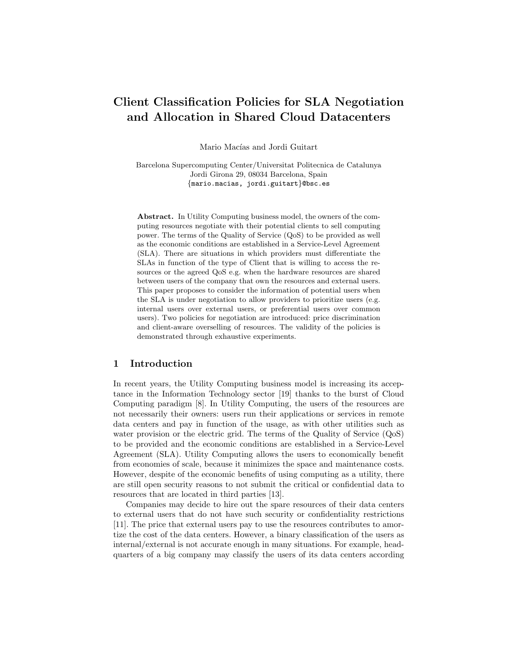# Client Classification Policies for SLA Negotiation and Allocation in Shared Cloud Datacenters

Mario Macías and Jordi Guitart

Barcelona Supercomputing Center/Universitat Politecnica de Catalunya Jordi Girona 29, 08034 Barcelona, Spain {mario.macias, jordi.guitart}@bsc.es

Abstract. In Utility Computing business model, the owners of the computing resources negotiate with their potential clients to sell computing power. The terms of the Quality of Service (QoS) to be provided as well as the economic conditions are established in a Service-Level Agreement (SLA). There are situations in which providers must differentiate the SLAs in function of the type of Client that is willing to access the resources or the agreed QoS e.g. when the hardware resources are shared between users of the company that own the resources and external users. This paper proposes to consider the information of potential users when the SLA is under negotiation to allow providers to prioritize users (e.g. internal users over external users, or preferential users over common users). Two policies for negotiation are introduced: price discrimination and client-aware overselling of resources. The validity of the policies is demonstrated through exhaustive experiments.

#### 1 Introduction

In recent years, the Utility Computing business model is increasing its acceptance in the Information Technology sector [19] thanks to the burst of Cloud Computing paradigm [8]. In Utility Computing, the users of the resources are not necessarily their owners: users run their applications or services in remote data centers and pay in function of the usage, as with other utilities such as water provision or the electric grid. The terms of the Quality of Service (QoS) to be provided and the economic conditions are established in a Service-Level Agreement (SLA). Utility Computing allows the users to economically benefit from economies of scale, because it minimizes the space and maintenance costs. However, despite of the economic benefits of using computing as a utility, there are still open security reasons to not submit the critical or confidential data to resources that are located in third parties [13].

Companies may decide to hire out the spare resources of their data centers to external users that do not have such security or confidentiality restrictions [11]. The price that external users pay to use the resources contributes to amortize the cost of the data centers. However, a binary classification of the users as internal/external is not accurate enough in many situations. For example, headquarters of a big company may classify the users of its data centers according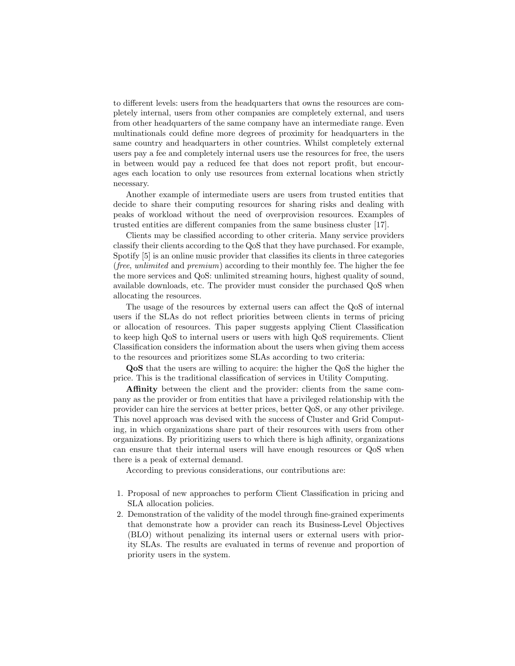to different levels: users from the headquarters that owns the resources are completely internal, users from other companies are completely external, and users from other headquarters of the same company have an intermediate range. Even multinationals could define more degrees of proximity for headquarters in the same country and headquarters in other countries. Whilst completely external users pay a fee and completely internal users use the resources for free, the users in between would pay a reduced fee that does not report profit, but encourages each location to only use resources from external locations when strictly necessary.

Another example of intermediate users are users from trusted entities that decide to share their computing resources for sharing risks and dealing with peaks of workload without the need of overprovision resources. Examples of trusted entities are different companies from the same business cluster [17].

Clients may be classified according to other criteria. Many service providers classify their clients according to the QoS that they have purchased. For example, Spotify [5] is an online music provider that classifies its clients in three categories (free, unlimited and premium) according to their monthly fee. The higher the fee the more services and QoS: unlimited streaming hours, highest quality of sound, available downloads, etc. The provider must consider the purchased QoS when allocating the resources.

The usage of the resources by external users can affect the QoS of internal users if the SLAs do not reflect priorities between clients in terms of pricing or allocation of resources. This paper suggests applying Client Classification to keep high QoS to internal users or users with high QoS requirements. Client Classification considers the information about the users when giving them access to the resources and prioritizes some SLAs according to two criteria:

QoS that the users are willing to acquire: the higher the QoS the higher the price. This is the traditional classification of services in Utility Computing.

Affinity between the client and the provider: clients from the same company as the provider or from entities that have a privileged relationship with the provider can hire the services at better prices, better QoS, or any other privilege. This novel approach was devised with the success of Cluster and Grid Computing, in which organizations share part of their resources with users from other organizations. By prioritizing users to which there is high affinity, organizations can ensure that their internal users will have enough resources or QoS when there is a peak of external demand.

According to previous considerations, our contributions are:

- 1. Proposal of new approaches to perform Client Classification in pricing and SLA allocation policies.
- 2. Demonstration of the validity of the model through fine-grained experiments that demonstrate how a provider can reach its Business-Level Objectives (BLO) without penalizing its internal users or external users with priority SLAs. The results are evaluated in terms of revenue and proportion of priority users in the system.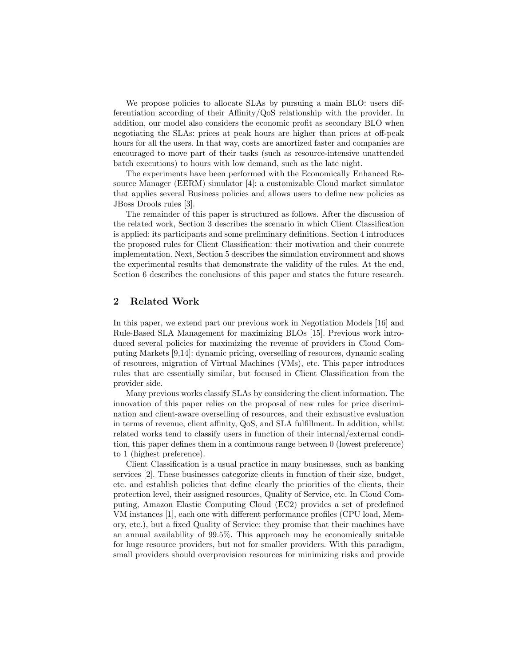We propose policies to allocate SLAs by pursuing a main BLO: users differentiation according of their Affinity/QoS relationship with the provider. In addition, our model also considers the economic profit as secondary BLO when negotiating the SLAs: prices at peak hours are higher than prices at off-peak hours for all the users. In that way, costs are amortized faster and companies are encouraged to move part of their tasks (such as resource-intensive unattended batch executions) to hours with low demand, such as the late night.

The experiments have been performed with the Economically Enhanced Resource Manager (EERM) simulator [4]: a customizable Cloud market simulator that applies several Business policies and allows users to define new policies as JBoss Drools rules [3].

The remainder of this paper is structured as follows. After the discussion of the related work, Section 3 describes the scenario in which Client Classification is applied: its participants and some preliminary definitions. Section 4 introduces the proposed rules for Client Classification: their motivation and their concrete implementation. Next, Section 5 describes the simulation environment and shows the experimental results that demonstrate the validity of the rules. At the end, Section 6 describes the conclusions of this paper and states the future research.

# 2 Related Work

In this paper, we extend part our previous work in Negotiation Models [16] and Rule-Based SLA Management for maximizing BLOs [15]. Previous work introduced several policies for maximizing the revenue of providers in Cloud Computing Markets [9,14]: dynamic pricing, overselling of resources, dynamic scaling of resources, migration of Virtual Machines (VMs), etc. This paper introduces rules that are essentially similar, but focused in Client Classification from the provider side.

Many previous works classify SLAs by considering the client information. The innovation of this paper relies on the proposal of new rules for price discrimination and client-aware overselling of resources, and their exhaustive evaluation in terms of revenue, client affinity, QoS, and SLA fulfillment. In addition, whilst related works tend to classify users in function of their internal/external condition, this paper defines them in a continuous range between 0 (lowest preference) to 1 (highest preference).

Client Classification is a usual practice in many businesses, such as banking services [2]. These businesses categorize clients in function of their size, budget, etc. and establish policies that define clearly the priorities of the clients, their protection level, their assigned resources, Quality of Service, etc. In Cloud Computing, Amazon Elastic Computing Cloud (EC2) provides a set of predefined VM instances [1], each one with different performance profiles (CPU load, Memory, etc.), but a fixed Quality of Service: they promise that their machines have an annual availability of 99.5%. This approach may be economically suitable for huge resource providers, but not for smaller providers. With this paradigm, small providers should overprovision resources for minimizing risks and provide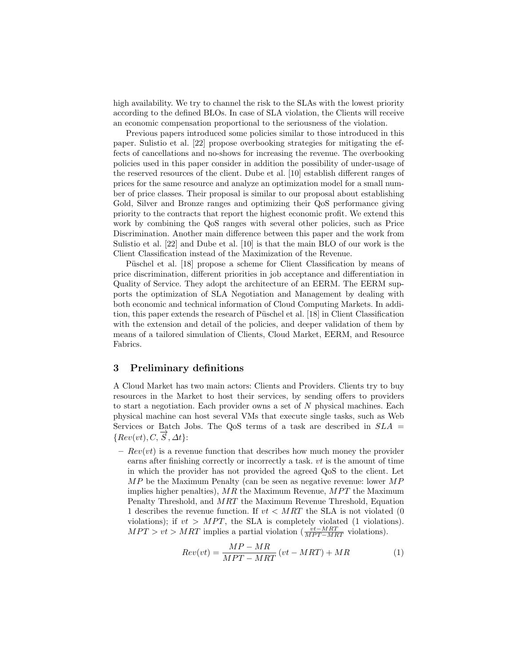high availability. We try to channel the risk to the SLAs with the lowest priority according to the defined BLOs. In case of SLA violation, the Clients will receive an economic compensation proportional to the seriousness of the violation.

Previous papers introduced some policies similar to those introduced in this paper. Sulistio et al. [22] propose overbooking strategies for mitigating the effects of cancellations and no-shows for increasing the revenue. The overbooking policies used in this paper consider in addition the possibility of under-usage of the reserved resources of the client. Dube et al. [10] establish different ranges of prices for the same resource and analyze an optimization model for a small number of price classes. Their proposal is similar to our proposal about establishing Gold, Silver and Bronze ranges and optimizing their QoS performance giving priority to the contracts that report the highest economic profit. We extend this work by combining the QoS ranges with several other policies, such as Price Discrimination. Another main difference between this paper and the work from Sulistio et al. [22] and Dube et al. [10] is that the main BLO of our work is the Client Classification instead of the Maximization of the Revenue.

Püschel et al. [18] propose a scheme for Client Classification by means of price discrimination, different priorities in job acceptance and differentiation in Quality of Service. They adopt the architecture of an EERM. The EERM supports the optimization of SLA Negotiation and Management by dealing with both economic and technical information of Cloud Computing Markets. In addition, this paper extends the research of Püschel et al. [18] in Client Classification with the extension and detail of the policies, and deeper validation of them by means of a tailored simulation of Clients, Cloud Market, EERM, and Resource Fabrics.

# 3 Preliminary definitions

A Cloud Market has two main actors: Clients and Providers. Clients try to buy resources in the Market to host their services, by sending offers to providers to start a negotiation. Each provider owns a set of  $N$  physical machines. Each physical machine can host several VMs that execute single tasks, such as Web Services or Batch Jobs. The QoS terms of a task are described in  $SLA =$  ${Rev(vt), C, \overrightarrow{S}, \Delta t}:$ 

–  $Rev(vt)$  is a revenue function that describes how much money the provider earns after finishing correctly or incorrectly a task.  $vt$  is the amount of time in which the provider has not provided the agreed QoS to the client. Let MP be the Maximum Penalty (can be seen as negative revenue: lower MP implies higher penalties),  $MR$  the Maximum Revenue,  $MPT$  the Maximum Penalty Threshold, and MRT the Maximum Revenue Threshold, Equation 1 describes the revenue function. If  $vt < MRT$  the SLA is not violated (0) violations); if  $vt > MPT$ , the SLA is completely violated (1 violations).  $MPT > vt > MRT$  implies a partial violation ( $\frac{vt-MRT}{MPT-MRT}$  violations).

$$
Rev(vt) = \frac{MP - MR}{MPT - MRT} (vt - MRT) + MR \tag{1}
$$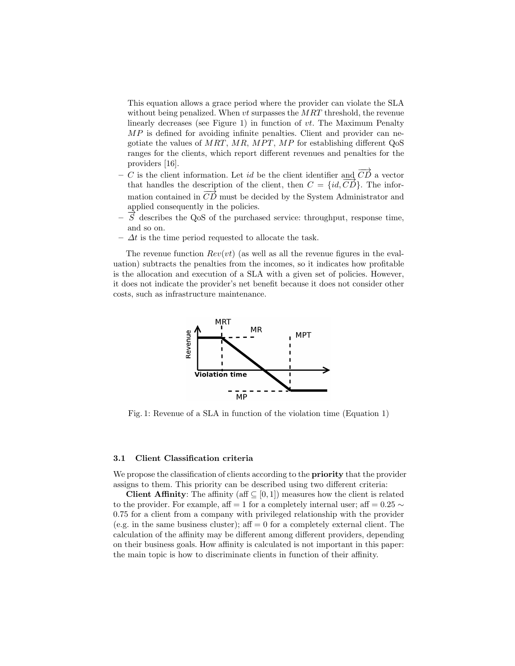This equation allows a grace period where the provider can violate the SLA without being penalized. When  $vt$  surpasses the  $MRT$  threshold, the revenue linearly decreases (see Figure 1) in function of  $vt$ . The Maximum Penalty MP is defined for avoiding infinite penalties. Client and provider can negotiate the values of  $MRT$ ,  $MR$ ,  $MPT$ ,  $MP$  for establishing different  $QoS$ ranges for the clients, which report different revenues and penalties for the providers [16].

- C is the client information. Let *id* be the client identifier and  $\overrightarrow{CD}$  a vector that handles the description of the client, then  $C = \{id, \overrightarrow{CD}\}\.$  The information contained in  $\overrightarrow{CD}$  must be decided by the System Administrator and applied consequently in the policies.
- $\overrightarrow{S}$  describes the QoS of the purchased service: throughput, response time, and so on.
- $\Delta t$  is the time period requested to allocate the task.

The revenue function  $Rev(vt)$  (as well as all the revenue figures in the evaluation) subtracts the penalties from the incomes, so it indicates how profitable is the allocation and execution of a SLA with a given set of policies. However, it does not indicate the provider's net benefit because it does not consider other costs, such as infrastructure maintenance.



Fig. 1: Revenue of a SLA in function of the violation time (Equation 1)

#### 3.1 Client Classification criteria

We propose the classification of clients according to the **priority** that the provider assigns to them. This priority can be described using two different criteria:

Client Affinity: The affinity (aff  $\subseteq$  [0, 1]) measures how the client is related to the provider. For example, aff = 1 for a completely internal user; aff =  $0.25 \sim$ 0.75 for a client from a company with privileged relationship with the provider (e.g. in the same business cluster);  $\text{aff} = 0$  for a completely external client. The calculation of the affinity may be different among different providers, depending on their business goals. How affinity is calculated is not important in this paper: the main topic is how to discriminate clients in function of their affinity.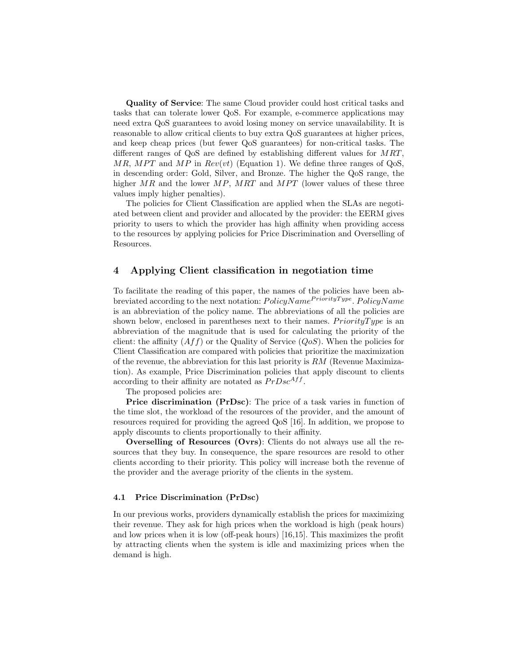Quality of Service: The same Cloud provider could host critical tasks and tasks that can tolerate lower QoS. For example, e-commerce applications may need extra QoS guarantees to avoid losing money on service unavailability. It is reasonable to allow critical clients to buy extra QoS guarantees at higher prices, and keep cheap prices (but fewer QoS guarantees) for non-critical tasks. The different ranges of QoS are defined by establishing different values for MRT, MR, MPT and MP in Rev(vt) (Equation 1). We define three ranges of  $\text{QoS}$ , in descending order: Gold, Silver, and Bronze. The higher the QoS range, the higher  $MR$  and the lower  $MP$ ,  $MRT$  and  $MPT$  (lower values of these three values imply higher penalties).

The policies for Client Classification are applied when the SLAs are negotiated between client and provider and allocated by the provider: the EERM gives priority to users to which the provider has high affinity when providing access to the resources by applying policies for Price Discrimination and Overselling of Resources.

#### 4 Applying Client classification in negotiation time

To facilitate the reading of this paper, the names of the policies have been abbreviated according to the next notation:  $PolicyName<sup>PriorityType</sup>$ .  $PolicyName$ is an abbreviation of the policy name. The abbreviations of all the policies are shown below, enclosed in parentheses next to their names. PriorityType is an abbreviation of the magnitude that is used for calculating the priority of the client: the affinity  $(Aff)$  or the Quality of Service  $(QoS)$ . When the policies for Client Classification are compared with policies that prioritize the maximization of the revenue, the abbreviation for this last priority is  $RM$  (Revenue Maximization). As example, Price Discrimination policies that apply discount to clients according to their affinity are notated as  $PrDsc^{Aff}$ .

The proposed policies are:

Price discrimination (PrDsc): The price of a task varies in function of the time slot, the workload of the resources of the provider, and the amount of resources required for providing the agreed QoS [16]. In addition, we propose to apply discounts to clients proportionally to their affinity.

Overselling of Resources (Ovrs): Clients do not always use all the resources that they buy. In consequence, the spare resources are resold to other clients according to their priority. This policy will increase both the revenue of the provider and the average priority of the clients in the system.

#### 4.1 Price Discrimination (PrDsc)

In our previous works, providers dynamically establish the prices for maximizing their revenue. They ask for high prices when the workload is high (peak hours) and low prices when it is low (off-peak hours) [16,15]. This maximizes the profit by attracting clients when the system is idle and maximizing prices when the demand is high.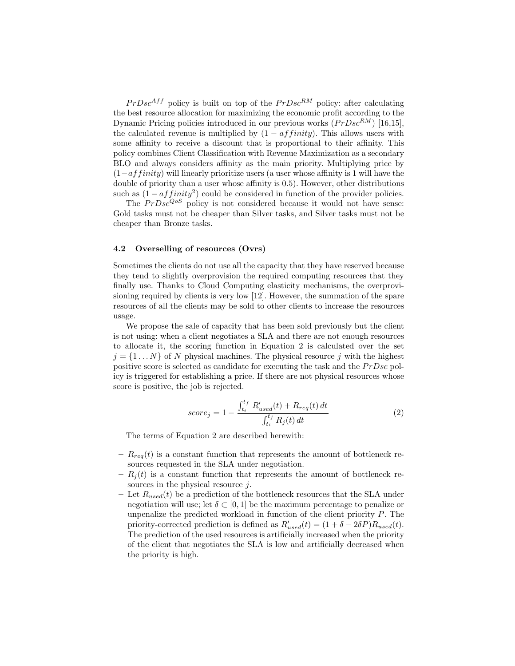$PrDsc^{Aff}$  policy is built on top of the  $PrDsc^{RM}$  policy: after calculating the best resource allocation for maximizing the economic profit according to the Dynamic Pricing policies introduced in our previous works  $(PrDsc^{RM})$  [16,15], the calculated revenue is multiplied by  $(1 - af finity)$ . This allows users with some affinity to receive a discount that is proportional to their affinity. This policy combines Client Classification with Revenue Maximization as a secondary BLO and always considers affinity as the main priority. Multiplying price by  $(1-af finity)$  will linearly prioritize users (a user whose affinity is 1 will have the double of priority than a user whose affinity is 0.5). However, other distributions such as  $(1 - af finity^2)$  could be considered in function of the provider policies.

The  $PrDsc^{QoS}$  policy is not considered because it would not have sense: Gold tasks must not be cheaper than Silver tasks, and Silver tasks must not be cheaper than Bronze tasks.

### 4.2 Overselling of resources (Ovrs)

Sometimes the clients do not use all the capacity that they have reserved because they tend to slightly overprovision the required computing resources that they finally use. Thanks to Cloud Computing elasticity mechanisms, the overprovisioning required by clients is very low [12]. However, the summation of the spare resources of all the clients may be sold to other clients to increase the resources usage.

We propose the sale of capacity that has been sold previously but the client is not using: when a client negotiates a SLA and there are not enough resources to allocate it, the scoring function in Equation 2 is calculated over the set  $j = \{1...N\}$  of N physical machines. The physical resource j with the highest positive score is selected as candidate for executing the task and the  $PrDsc$  policy is triggered for establishing a price. If there are not physical resources whose score is positive, the job is rejected.

$$
score_j = 1 - \frac{\int_{t_i}^{t_f} R'_{used}(t) + R_{req}(t) dt}{\int_{t_i}^{t_f} R_j(t) dt}
$$
\n(2)

The terms of Equation 2 are described herewith:

- $-R_{rea}(t)$  is a constant function that represents the amount of bottleneck resources requested in the SLA under negotiation.
- $-R_i(t)$  is a constant function that represents the amount of bottleneck resources in the physical resource  $i$ .
- Let  $R_{used}(t)$  be a prediction of the bottleneck resources that the SLA under negotiation will use; let  $\delta \subset [0, 1]$  be the maximum percentage to penalize or unpenalize the predicted workload in function of the client priority  $P$ . The priority-corrected prediction is defined as  $R'_{used}(t) = (1 + \delta - 2\delta P)R_{used}(t)$ . The prediction of the used resources is artificially increased when the priority of the client that negotiates the SLA is low and artificially decreased when the priority is high.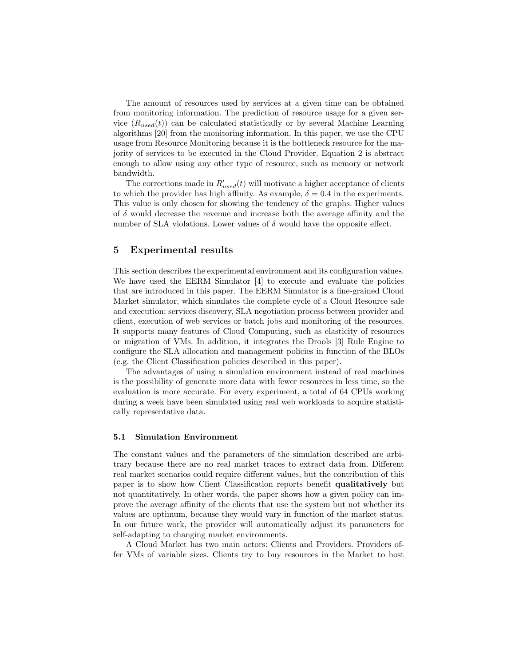The amount of resources used by services at a given time can be obtained from monitoring information. The prediction of resource usage for a given service  $(R_{used}(t))$  can be calculated statistically or by several Machine Learning algorithms [20] from the monitoring information. In this paper, we use the CPU usage from Resource Monitoring because it is the bottleneck resource for the majority of services to be executed in the Cloud Provider. Equation 2 is abstract enough to allow using any other type of resource, such as memory or network bandwidth.

The corrections made in  $R'_{used}(t)$  will motivate a higher acceptance of clients to which the provider has high affinity. As example,  $\delta = 0.4$  in the experiments. This value is only chosen for showing the tendency of the graphs. Higher values of  $\delta$  would decrease the revenue and increase both the average affinity and the number of SLA violations. Lower values of  $\delta$  would have the opposite effect.

#### 5 Experimental results

This section describes the experimental environment and its configuration values. We have used the EERM Simulator [4] to execute and evaluate the policies that are introduced in this paper. The EERM Simulator is a fine-grained Cloud Market simulator, which simulates the complete cycle of a Cloud Resource sale and execution: services discovery, SLA negotiation process between provider and client, execution of web services or batch jobs and monitoring of the resources. It supports many features of Cloud Computing, such as elasticity of resources or migration of VMs. In addition, it integrates the Drools [3] Rule Engine to configure the SLA allocation and management policies in function of the BLOs (e.g. the Client Classification policies described in this paper).

The advantages of using a simulation environment instead of real machines is the possibility of generate more data with fewer resources in less time, so the evaluation is more accurate. For every experiment, a total of 64 CPUs working during a week have been simulated using real web workloads to acquire statistically representative data.

#### 5.1 Simulation Environment

The constant values and the parameters of the simulation described are arbitrary because there are no real market traces to extract data from. Different real market scenarios could require different values, but the contribution of this paper is to show how Client Classification reports benefit qualitatively but not quantitatively. In other words, the paper shows how a given policy can improve the average affinity of the clients that use the system but not whether its values are optimum, because they would vary in function of the market status. In our future work, the provider will automatically adjust its parameters for self-adapting to changing market environments.

A Cloud Market has two main actors: Clients and Providers. Providers offer VMs of variable sizes. Clients try to buy resources in the Market to host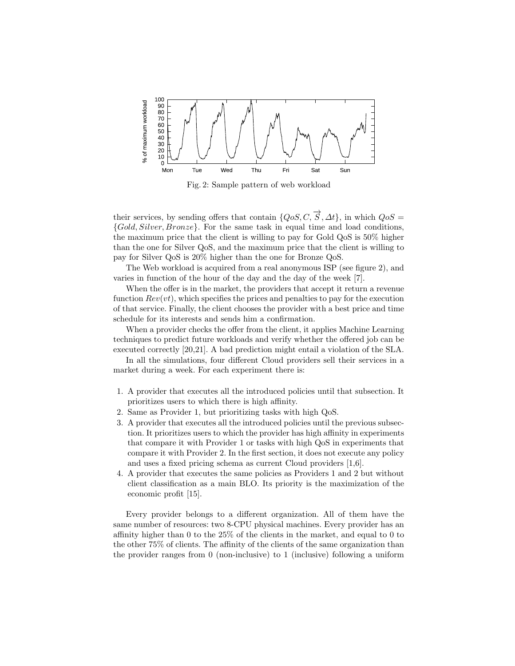

Fig. 2: Sample pattern of web workload

their services, by sending offers that contain  $\{QoS, C, \overrightarrow{S}, \Delta t\}$ , in which  $QoS =$ {Gold, Silver, Bronze}. For the same task in equal time and load conditions, the maximum price that the client is willing to pay for Gold QoS is 50% higher than the one for Silver QoS, and the maximum price that the client is willing to pay for Silver QoS is 20% higher than the one for Bronze QoS.

The Web workload is acquired from a real anonymous ISP (see figure 2), and varies in function of the hour of the day and the day of the week [7].

When the offer is in the market, the providers that accept it return a revenue function  $Rev(vt)$ , which specifies the prices and penalties to pay for the execution of that service. Finally, the client chooses the provider with a best price and time schedule for its interests and sends him a confirmation.

When a provider checks the offer from the client, it applies Machine Learning techniques to predict future workloads and verify whether the offered job can be executed correctly [20,21]. A bad prediction might entail a violation of the SLA.

In all the simulations, four different Cloud providers sell their services in a market during a week. For each experiment there is:

- 1. A provider that executes all the introduced policies until that subsection. It prioritizes users to which there is high affinity.
- 2. Same as Provider 1, but prioritizing tasks with high QoS.
- 3. A provider that executes all the introduced policies until the previous subsection. It prioritizes users to which the provider has high affinity in experiments that compare it with Provider 1 or tasks with high QoS in experiments that compare it with Provider 2. In the first section, it does not execute any policy and uses a fixed pricing schema as current Cloud providers [1,6].
- 4. A provider that executes the same policies as Providers 1 and 2 but without client classification as a main BLO. Its priority is the maximization of the economic profit [15].

Every provider belongs to a different organization. All of them have the same number of resources: two 8-CPU physical machines. Every provider has an affinity higher than 0 to the 25% of the clients in the market, and equal to 0 to the other 75% of clients. The affinity of the clients of the same organization than the provider ranges from 0 (non-inclusive) to 1 (inclusive) following a uniform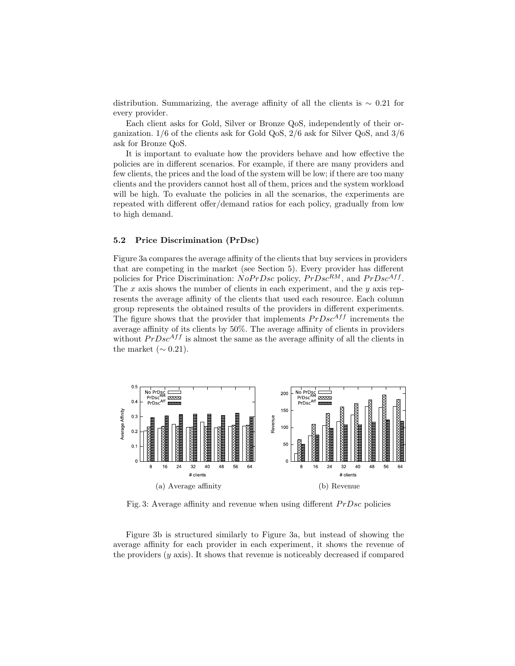distribution. Summarizing, the average affinity of all the clients is  $\sim 0.21$  for every provider.

Each client asks for Gold, Silver or Bronze QoS, independently of their organization. 1/6 of the clients ask for Gold QoS, 2/6 ask for Silver QoS, and 3/6 ask for Bronze QoS.

It is important to evaluate how the providers behave and how effective the policies are in different scenarios. For example, if there are many providers and few clients, the prices and the load of the system will be low; if there are too many clients and the providers cannot host all of them, prices and the system workload will be high. To evaluate the policies in all the scenarios, the experiments are repeated with different offer/demand ratios for each policy, gradually from low to high demand.

### 5.2 Price Discrimination (PrDsc)

Figure 3a compares the average affinity of the clients that buy services in providers that are competing in the market (see Section 5). Every provider has different policies for Price Discrimination:  $NoPrDsc$  policy,  $PrDsc^{RM}$ , and  $PrDsc^{Aff}$ . The x axis shows the number of clients in each experiment, and the  $y$  axis represents the average affinity of the clients that used each resource. Each column group represents the obtained results of the providers in different experiments. The figure shows that the provider that implements  $PrDsc^{Aff}$  increments the average affinity of its clients by 50%. The average affinity of clients in providers without  $PrDsc^{Aff}$  is almost the same as the average affinity of all the clients in the market ( $\sim 0.21$ ).



Fig. 3: Average affinity and revenue when using different  $PrDsc$  policies

Figure 3b is structured similarly to Figure 3a, but instead of showing the average affinity for each provider in each experiment, it shows the revenue of the providers  $(y \text{ axis})$ . It shows that revenue is noticeably decreased if compared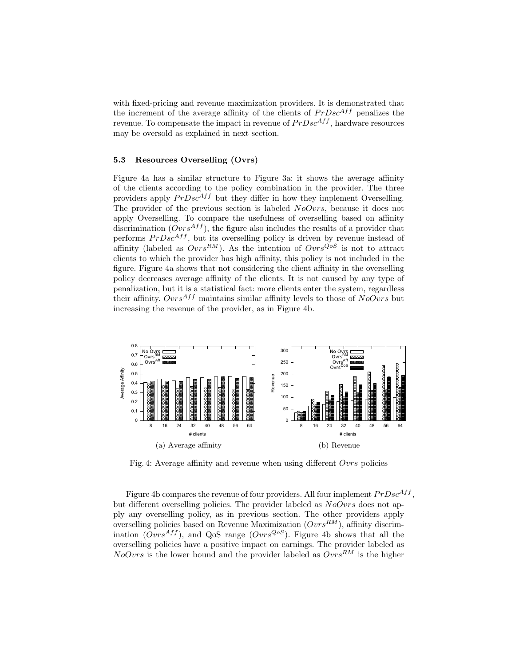with fixed-pricing and revenue maximization providers. It is demonstrated that the increment of the average affinity of the clients of  $PrDsc^{Aff}$  penalizes the revenue. To compensate the impact in revenue of  $PrDsc<sup>Aff</sup>$ , hardware resources may be oversold as explained in next section.

#### 5.3 Resources Overselling (Ovrs)

Figure 4a has a similar structure to Figure 3a: it shows the average affinity of the clients according to the policy combination in the provider. The three providers apply  $PrDsc^{Aff}$  but they differ in how they implement Overselling. The provider of the previous section is labeled  $NoOvrs$ , because it does not apply Overselling. To compare the usefulness of overselling based on affinity discrimination ( $Ovrs^{Aff}$ ), the figure also includes the results of a provider that performs  $PrDsc<sup>Aff</sup>$ , but its overselling policy is driven by revenue instead of affinity (labeled as  $Ovrs^{RM}$ ). As the intention of  $Ovrs^{QoS}$  is not to attract clients to which the provider has high affinity, this policy is not included in the figure. Figure 4a shows that not considering the client affinity in the overselling policy decreases average affinity of the clients. It is not caused by any type of penalization, but it is a statistical fact: more clients enter the system, regardless their affinity.  $Ovrs^{Aff}$  maintains similar affinity levels to those of NoOvrs but increasing the revenue of the provider, as in Figure 4b.



Fig. 4: Average affinity and revenue when using different Ovrs policies

Figure 4b compares the revenue of four providers. All four implement  $PrDsc^{Aff}$ , but different overselling policies. The provider labeled as  $NoOvrs$  does not apply any overselling policy, as in previous section. The other providers apply overselling policies based on Revenue Maximization  $(Ovrs^{RM})$ , affinity discrimination  $(Ovrs^{Aff})$ , and QoS range  $(Ovrs^{QoS})$ . Figure 4b shows that all the overselling policies have a positive impact on earnings. The provider labeled as  $NoOvrs$  is the lower bound and the provider labeled as  $Ovrs^{RM}$  is the higher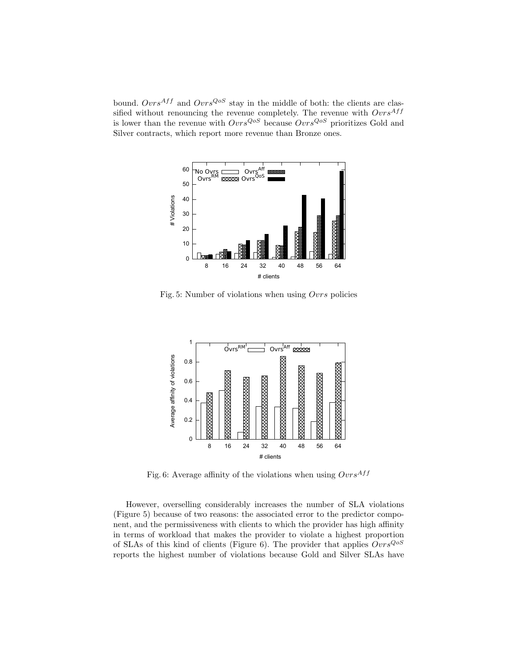bound.  $Ovrs^{Aff}$  and  $Ovrs^{QoS}$  stay in the middle of both: the clients are classified without renouncing the revenue completely. The revenue with  $Ovrs^{Aff}$ is lower than the revenue with  $Ovrs^{QoS}$  because  $Ovrs^{QoS}$  prioritizes Gold and Silver contracts, which report more revenue than Bronze ones.



Fig. 5: Number of violations when using  $Ovrs$  policies



Fig. 6: Average affinity of the violations when using  $Ovrs^{Aff}$ 

However, overselling considerably increases the number of SLA violations (Figure 5) because of two reasons: the associated error to the predictor component, and the permissiveness with clients to which the provider has high affinity in terms of workload that makes the provider to violate a highest proportion of SLAs of this kind of clients (Figure 6). The provider that applies  $Ovrs^{QoS}$ reports the highest number of violations because Gold and Silver SLAs have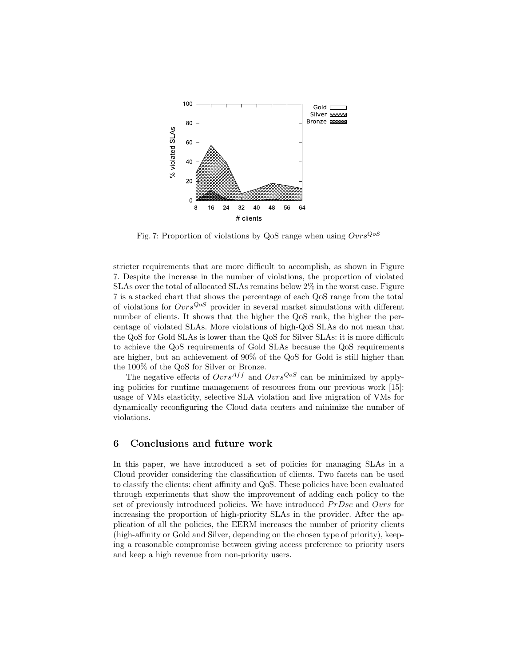

Fig. 7: Proportion of violations by QoS range when using  $Ovrs^{QoS}$ 

stricter requirements that are more difficult to accomplish, as shown in Figure 7. Despite the increase in the number of violations, the proportion of violated SLAs over the total of allocated SLAs remains below 2% in the worst case. Figure 7 is a stacked chart that shows the percentage of each QoS range from the total of violations for  $Ovrs^{QoS}$  provider in several market simulations with different number of clients. It shows that the higher the QoS rank, the higher the percentage of violated SLAs. More violations of high-QoS SLAs do not mean that the QoS for Gold SLAs is lower than the QoS for Silver SLAs: it is more difficult to achieve the QoS requirements of Gold SLAs because the QoS requirements are higher, but an achievement of 90% of the QoS for Gold is still higher than the 100% of the QoS for Silver or Bronze.

The negative effects of  $Ovrs^{Aff}$  and  $Ovrs^{QoS}$  can be minimized by applying policies for runtime management of resources from our previous work [15]: usage of VMs elasticity, selective SLA violation and live migration of VMs for dynamically reconfiguring the Cloud data centers and minimize the number of violations.

# 6 Conclusions and future work

In this paper, we have introduced a set of policies for managing SLAs in a Cloud provider considering the classification of clients. Two facets can be used to classify the clients: client affinity and QoS. These policies have been evaluated through experiments that show the improvement of adding each policy to the set of previously introduced policies. We have introduced  $PrDsc$  and  $Ovrs$  for increasing the proportion of high-priority SLAs in the provider. After the application of all the policies, the EERM increases the number of priority clients (high-affinity or Gold and Silver, depending on the chosen type of priority), keeping a reasonable compromise between giving access preference to priority users and keep a high revenue from non-priority users.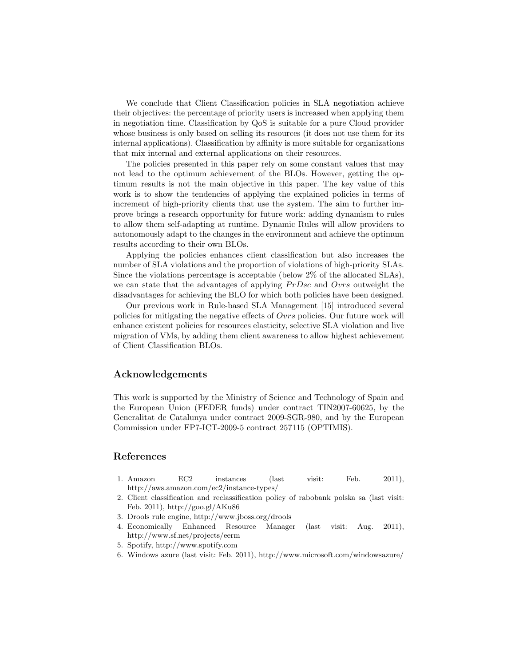We conclude that Client Classification policies in SLA negotiation achieve their objectives: the percentage of priority users is increased when applying them in negotiation time. Classification by QoS is suitable for a pure Cloud provider whose business is only based on selling its resources (it does not use them for its internal applications). Classification by affinity is more suitable for organizations that mix internal and external applications on their resources.

The policies presented in this paper rely on some constant values that may not lead to the optimum achievement of the BLOs. However, getting the optimum results is not the main objective in this paper. The key value of this work is to show the tendencies of applying the explained policies in terms of increment of high-priority clients that use the system. The aim to further improve brings a research opportunity for future work: adding dynamism to rules to allow them self-adapting at runtime. Dynamic Rules will allow providers to autonomously adapt to the changes in the environment and achieve the optimum results according to their own BLOs.

Applying the policies enhances client classification but also increases the number of SLA violations and the proportion of violations of high-priority SLAs. Since the violations percentage is acceptable (below 2% of the allocated SLAs), we can state that the advantages of applying  $PrDsc$  and  $Ovrs$  outweight the disadvantages for achieving the BLO for which both policies have been designed.

Our previous work in Rule-based SLA Management [15] introduced several policies for mitigating the negative effects of Ovrs policies. Our future work will enhance existent policies for resources elasticity, selective SLA violation and live migration of VMs, by adding them client awareness to allow highest achievement of Client Classification BLOs.

#### Acknowledgements

This work is supported by the Ministry of Science and Technology of Spain and the European Union (FEDER funds) under contract TIN2007-60625, by the Generalitat de Catalunya under contract 2009-SGR-980, and by the European Commission under FP7-ICT-2009-5 contract 257115 (OPTIMIS).

# References

- 1. Amazon EC2 instances (last visit: Feb. 2011), http://aws.amazon.com/ec2/instance-types/
- 2. Client classification and reclassification policy of rabobank polska sa (last visit: Feb. 2011), http://goo.gl/AKu86
- 3. Drools rule engine, http://www.jboss.org/drools
- 4. Economically Enhanced Resource Manager (last visit: Aug. 2011), http://www.sf.net/projects/eerm
- 5. Spotify, http://www.spotify.com
- 6. Windows azure (last visit: Feb. 2011), http://www.microsoft.com/windowsazure/